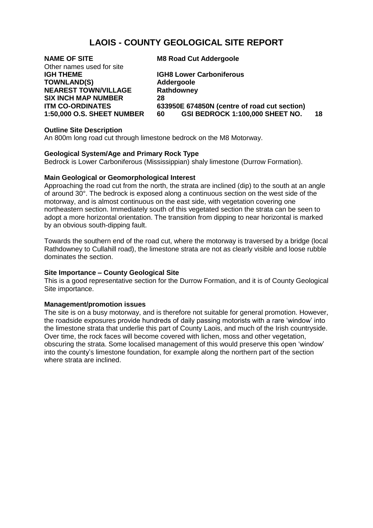# **LAOIS - COUNTY GEOLOGICAL SITE REPORT**

| <b>NAME OF SITE</b>               | <b>M8 Road Cut Addergoole</b>                |    |
|-----------------------------------|----------------------------------------------|----|
| Other names used for site         |                                              |    |
| <b>IGH THEME</b>                  | <b>IGH8 Lower Carboniferous</b>              |    |
| <b>TOWNLAND(S)</b>                | Addergoole                                   |    |
| <b>NEAREST TOWN/VILLAGE</b>       | Rathdowney                                   |    |
| <b>SIX INCH MAP NUMBER</b>        | 28                                           |    |
| <b>ITM CO-ORDINATES</b>           | 633950E 674850N (centre of road cut section) |    |
| <b>1:50,000 O.S. SHEET NUMBER</b> | GSI BEDROCK 1:100,000 SHEET NO.<br>60        | 18 |
|                                   |                                              |    |

## **Outline Site Description**

An 800m long road cut through limestone bedrock on the M8 Motorway.

#### **Geological System/Age and Primary Rock Type**

Bedrock is Lower Carboniferous (Mississippian) shaly limestone (Durrow Formation).

## **Main Geological or Geomorphological Interest**

Approaching the road cut from the north, the strata are inclined (dip) to the south at an angle of around 30°. The bedrock is exposed along a continuous section on the west side of the motorway, and is almost continuous on the east side, with vegetation covering one northeastern section. Immediately south of this vegetated section the strata can be seen to adopt a more horizontal orientation. The transition from dipping to near horizontal is marked by an obvious south-dipping fault.

Towards the southern end of the road cut, where the motorway is traversed by a bridge (local Rathdowney to Cullahill road), the limestone strata are not as clearly visible and loose rubble dominates the section.

### **Site Importance – County Geological Site**

This is a good representative section for the Durrow Formation, and it is of County Geological Site importance.

#### **Management/promotion issues**

The site is on a busy motorway, and is therefore not suitable for general promotion. However, the roadside exposures provide hundreds of daily passing motorists with a rare 'window' into the limestone strata that underlie this part of County Laois, and much of the Irish countryside. Over time, the rock faces will become covered with lichen, moss and other vegetation, obscuring the strata. Some localised management of this would preserve this open 'window' into the county's limestone foundation, for example along the northern part of the section where strata are inclined.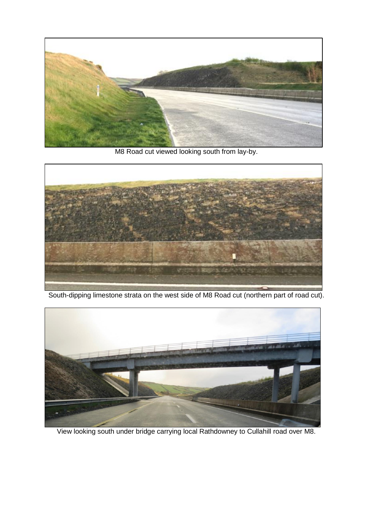

M8 Road cut viewed looking south from lay-by.



South-dipping limestone strata on the west side of M8 Road cut (northern part of road cut).



View looking south under bridge carrying local Rathdowney to Cullahill road over M8.